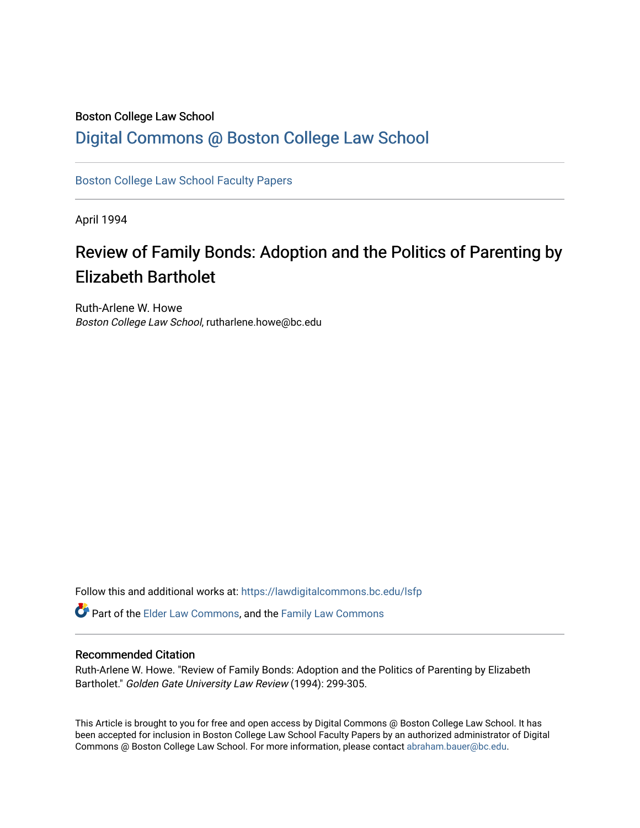### Boston College Law School [Digital Commons @ Boston College Law School](https://lawdigitalcommons.bc.edu/)

[Boston College Law School Faculty Papers](https://lawdigitalcommons.bc.edu/lsfp) 

April 1994

# Review of Family Bonds: Adoption and the Politics of Parenting by Elizabeth Bartholet

Ruth-Arlene W. Howe Boston College Law School, rutharlene.howe@bc.edu

Follow this and additional works at: [https://lawdigitalcommons.bc.edu/lsfp](https://lawdigitalcommons.bc.edu/lsfp?utm_source=lawdigitalcommons.bc.edu%2Flsfp%2F790&utm_medium=PDF&utm_campaign=PDFCoverPages) 

Part of the [Elder Law Commons](http://network.bepress.com/hgg/discipline/842?utm_source=lawdigitalcommons.bc.edu%2Flsfp%2F790&utm_medium=PDF&utm_campaign=PDFCoverPages), and the [Family Law Commons](http://network.bepress.com/hgg/discipline/602?utm_source=lawdigitalcommons.bc.edu%2Flsfp%2F790&utm_medium=PDF&utm_campaign=PDFCoverPages) 

### Recommended Citation

Ruth-Arlene W. Howe. "Review of Family Bonds: Adoption and the Politics of Parenting by Elizabeth Bartholet." Golden Gate University Law Review (1994): 299-305.

This Article is brought to you for free and open access by Digital Commons @ Boston College Law School. It has been accepted for inclusion in Boston College Law School Faculty Papers by an authorized administrator of Digital Commons @ Boston College Law School. For more information, please contact [abraham.bauer@bc.edu.](mailto:abraham.bauer@bc.edu)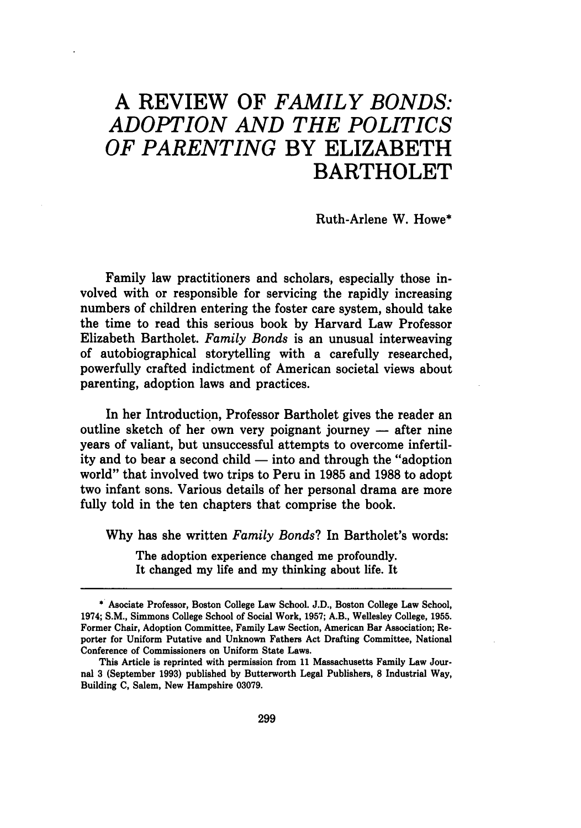## A REVIEW OF *FAMILY BONDS: ADOPTION AND THE POLITICS OF PARENTING* BY ELIZABETH BARTHOLET

Ruth-Arlene W. Howe\*

Family law practitioners and scholars, especially those involved with or responsible for servicing the rapidly increasing numbers of children entering the foster care system, should take the time to read this serious book by Harvard Law Professor Elizabeth Bartholet. *Family Bonds* is an unusual interweaving of autobiographical storytelling with a carefully researched, powerfully crafted indictment of American societal views about parenting, adoption laws and practices.

In her Introduction, Professor Bartholet gives the reader an outline sketch of her own very poignant journey  $-$  after nine years of valiant, but unsuccessful attempts to overcome infertility and to bear a second child  $-$  into and through the "adoption" world" that involved two trips to Peru in 1985 and 1988 to adopt two infant sons. Various details of her personal drama are more fully told in the ten chapters that comprise the book.

Why has she written *Family Bonds?* In Bartholet's words:

The adoption experience changed me profoundly. It changed my life and my thinking about life. It

<sup>\*</sup> Asociate Professor, Boston College Law School. J.D., Boston College Law School, 1974; S.M., Simmons College School of Social Work, 1957; A.B., Wellesley College, 1955. Former Chair, Adoption Committee, Family Law Section, American Bar Association; Reporter for Uniform Putative and Unknown Fathers Act Drafting Committee, National Conference of Commissioners on Uniform State Laws.

This Article is reprinted with permission from 11 Massachusetts Family Law Journal 3 (September 1993) published by Butterworth Legal Publishers, 8 Industrial Way, Building C, Salem, New Hampshire 03079.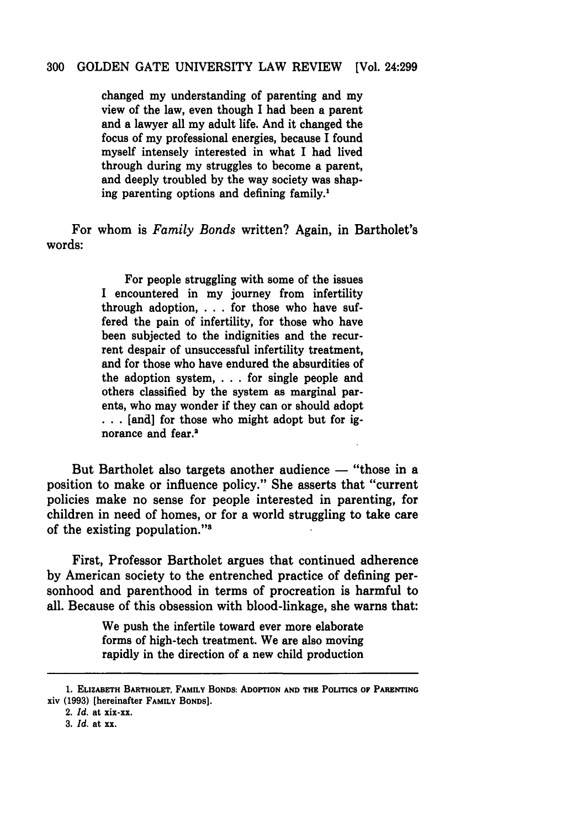#### 300 GOLDEN GATE UNIVERSITY LAW REVIEW [Vol. 24:299

changed my understanding of parenting and my view of the law, even though I had been a parent and a lawyer all my adult life. And it changed the focus of my professional energies, because I found myself intensely interested in what I had lived through during my struggles to become a parent, and deeply troubled by the way society was shaping parenting options and defining family.1

For whom is *Family Bonds* written? Again, in Bartholet's words:

> For people struggling with some of the issues I encountered in my journey from infertility through adoption, ... for those who have suffered the pain of infertility, for those who have been subjected to the indignities and the recurrent despair of unsuccessful infertility treatment, and for those who have endured the absurdities of the adoption system, . . . for single people and others classified by the system as marginal parents, who may wonder if they can or should adopt ... [and] for those who might adopt but for ignorance and fear.<sup>2</sup>

But Bartholet also targets another audience  $-$  "those in a position to make or influence policy." She asserts that "current policies make no sense for people interested in parenting, for children in need of homes, or for a world struggling to take care of the existing population."8

First, Professor Bartholet argues that continued adherence by American society to the entrenched practice of defining personhood and parenthood in terms of procreation is harmful to all. Because of this obsession with blood-linkage, she warns that:

> We push the infertile toward ever more elaborate forms of high-tech treatment. We are also moving rapidly in the direction of a new child production

<sup>1.</sup> ELIZABETH BARTHOLET, FAMILY BONDS: ADOPTION AND THE POLITICS OF PARENTING xiv (1993) [hereinafter FAMILY BONDS).

*<sup>2.</sup> Id.* at xix-xx.

*<sup>3.</sup> Id.* at xx.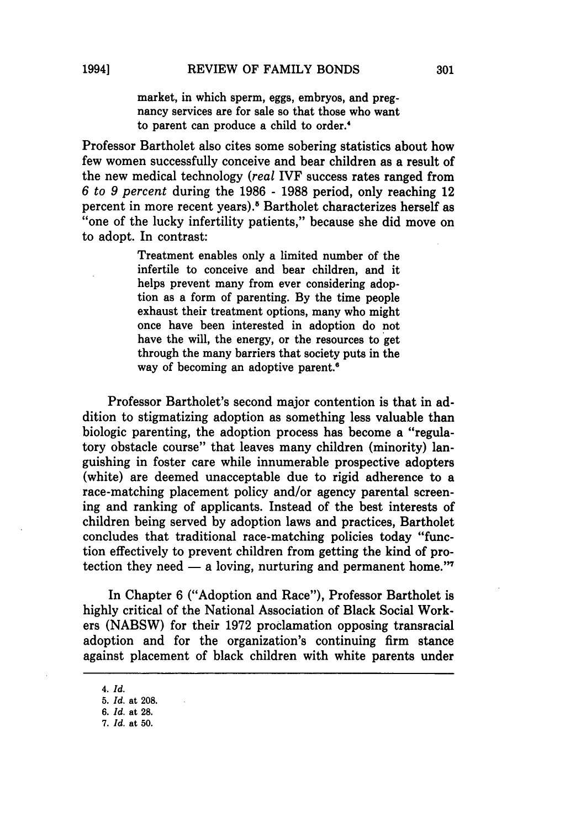market, in which sperm, eggs, embryos, and pregnancy services are for sale so that those who want to parent can produce a child to order.'

Professor Bartholet also cites some sobering statistics about how few women successfully conceive and bear children as a result of the new medical technology *(real* IVF success rates ranged from *6 to* 9 *percent* during the 1986 - 1988 period, only reaching 12 percent in more recent years).<sup>5</sup> Bartholet characterizes herself as "one of the lucky infertility patients," because she did move on to adopt. In contrast:

> Treatment enables only a limited number of the infertile to conceive and bear children, and it helps prevent many from ever considering adoption as a form of parenting. By the time people exhaust their treatment options, many who might once have been interested in adoption do not have the will, the energy, or the resources to get through the many barriers that society puts in the way of becoming an adoptive parent.<sup>6</sup>

Professor Bartholet's second major contention is that in addition to stigmatizing adoption as something less valuable than biologic parenting, the adoption process has become a "regulatory obstacle course" that leaves many children (minority) languishing in foster care while innumerable prospective adopters (white) are deemed unacceptable due to rigid adherence to a race-matching placement policy and/or agency parental screening and ranking of applicants. Instead of the best interests of children being served by adoption laws and practices, Bartholet concludes that traditional race-matching policies today "function effectively to prevent children from getting the kind of protection they need  $-$  a loving, nurturing and permanent home."<sup>7</sup>

In Chapter 6 ("Adoption and Race"), Professor Bartholet is highly critical of the National Association of Black Social Workers (NABSW) for their 1972 proclamation opposing transracial adoption and for the organization's continuing firm stance against placement of black children with white parents under

*<sup>4.</sup>Id.* 

*<sup>5.</sup> Id.* at 208.

<sup>6.</sup> *Id.* at 28.

*<sup>7.</sup> Id.* at 50.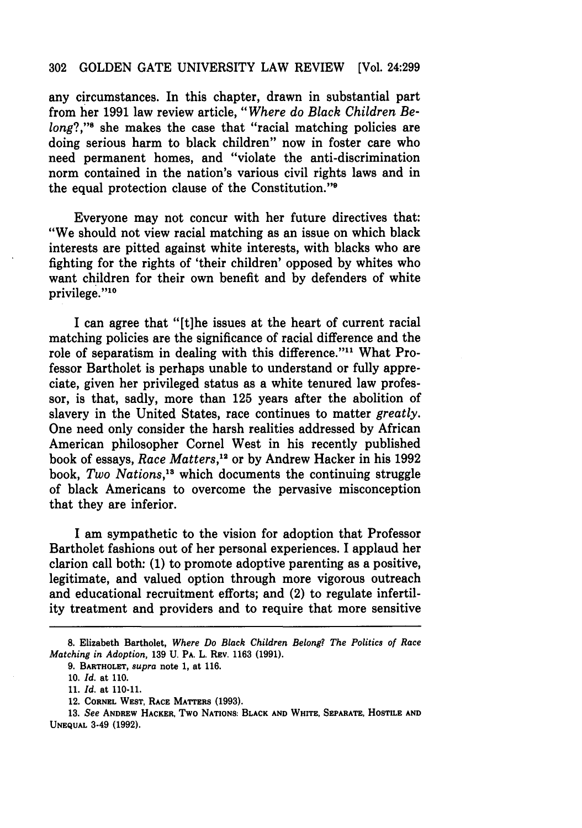#### 302 GOLDEN GATE UNIVERSITY LAW REVIEW [Vol. 24:299

any circumstances. In this chapter, drawn in substantial part from her 1991 law review article, *"Where do Black Children Belong*?,"<sup>8</sup> she makes the case that "racial matching policies are doing serious harm to black children" now in foster care who need permanent homes, and "violate the anti-discrimination norm contained in the nation's various civil rights laws and in the equal protection clause of the Constitution."9

Everyone may not concur with her future directives that: "We should not view racial matching as an issue on which black interests are pitted against white interests, with blacks who are fighting for the rights of 'their children' opposed by whites who want children for their own benefit and by defenders of white privilege."10

I can agree that "[t]he issues at the heart of current racial matching policies are the significance of racial difference and the role of separatism in dealing with this difference. "11 What Professor Bartholet is perhaps unable to understand or fully appreciate, given her privileged status as a white tenured law professor, is that, sadly, more than 125 years after the abolition of slavery in the United States, race continues to matter *greatly.*  One need only consider the harsh realities addressed by African American philosopher Cornel West in his recently published book of essays, *Race Matters*,<sup>12</sup> or by Andrew Hacker in his 1992 book, Two Nations,<sup>13</sup> which documents the continuing struggle of black Americans to overcome the pervasive misconception that they are inferior.

I am sympathetic to the vision for adoption that Professor Bartholet fashions out of her personal experiences. I applaud her clarion call both: (1) to promote adoptive parenting as a positive, legitimate, and valued option through more vigorous outreach and educational recruitment efforts; and (2) to regulate infertility treatment and providers and to require that more sensitive

<sup>8.</sup> Elizabeth Bartholet, *Where Do Black Children Belong? The Politics of Race Matching in Adoption,* 139 U. PA. L. REV. 1163 (1991).

<sup>9.</sup> BARTHOLET, *supra* note 1, at 116.

<sup>10.</sup> *Id.* at 110.

*<sup>11. [</sup>d.* at 110-11.

<sup>12.</sup> CORNEL WEST, RACE MATTERS (1993).

<sup>13.</sup> See ANDREW HACKER. TWO NATIONS: BLACK AND WHITE, SEPARATE, HOSTILE AND UNEQUAL 3-49 (1992).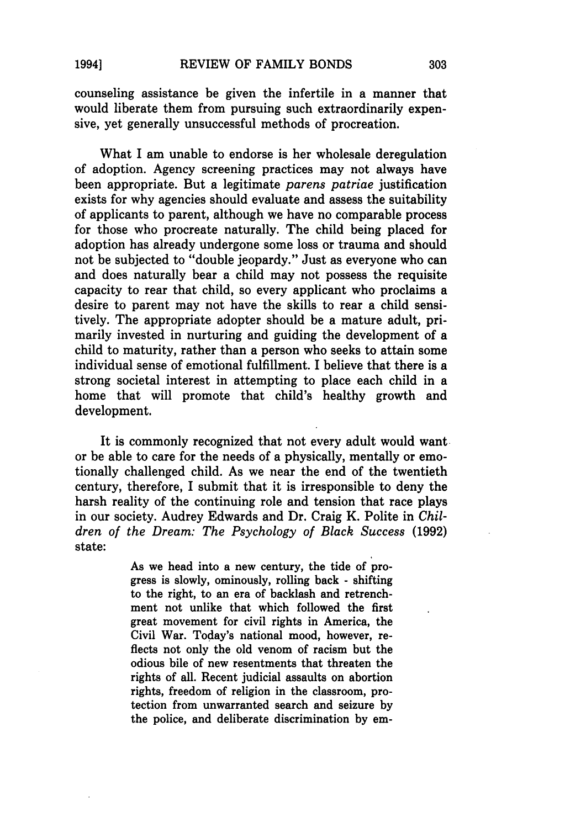counseling assistance be given the infertile in a manner that would liberate them from pursuing such extraordinarily expensive, yet generally unsuccessful methods of procreation.

What I am unable to endorse is her wholesale deregulation of adoption. Agency screening practices may not always have been appropriate. But a legitimate *parens patriae* justification exists for why agencies should evaluate and assess the suitability of applicants to parent, although we have no comparable process for those who procreate naturally. The child being placed for adoption has already undergone some loss or trauma and should not be subjected to "double jeopardy." Just as everyone who can and does naturally bear a child may not possess the requisite capacity to rear that child, so every applicant who proclaims a desire to parent may not have the skills to rear a child sensitively. The appropriate adopter should be a mature adult, primarily invested in nurturing and guiding the development of a child to maturity, rather than a person who seeks to attain some individual sense of emotional fulfillment. I believe that there is a strong societal interest in attempting to place each child in a home that will promote that child's healthy growth and development.

It is commonly recognized that not every adult would want or be able to care for the needs of a physically, mentally or emotionally challenged child. As we near the end of the twentieth century, therefore, I submit that it is irresponsible to deny the harsh reality of the continuing role and tension that race plays in our society. Audrey Edwards and Dr. Craig K. Polite in Chil*dren of the Dream: The Psychology of Black Success (1992)*  state:

> As we head into a new century, the tide of progress is slowly, ominously, rolling back - shifting to the right, to an era of backlash and retrenchment not unlike that which followed the first great movement for civil rights in America, the Civil War. Today's national mood, however, reflects not only the old venom of racism but the odious bile of new resentments that threaten the rights of all. Recent judicial assaults on abortion rights, freedom of religion in the classroom, protection from unwarranted search and seizure by the police, and deliberate discrimination by em-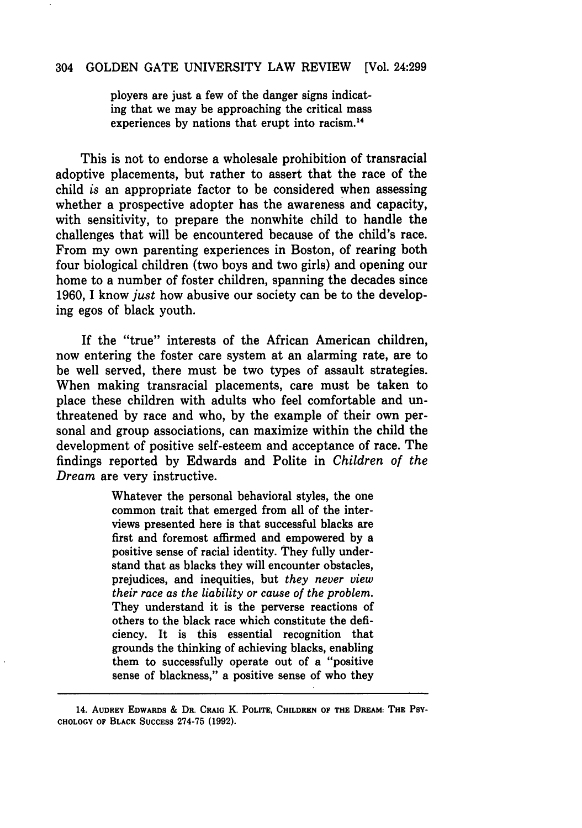### 304 GOLDEN GATE UNIVERSITY LAW REVIEW [Vol. 24:299

ployers are just a few of the danger signs indicating that we may be approaching the critical mass experiences by nations that erupt into racism.<sup>14</sup>

This is not to endorse a wholesale prohibition of transracial adoptive placements, but rather to assert that the race of the child *is* an appropriate factor to be considered when assessing whether a prospective adopter has the awareness and capacity, with sensitivity, to prepare the nonwhite child to handle the challenges that will be encountered because of the child's race. From my own parenting experiences in Boston, of rearing both four biological children (two boys and two girls) and opening our home to a number of foster children, spanning the decades since 1960, I know *just* how abusive our society can be to the developing egos of black youth.

If the "true" interests of the African American children, now entering the foster care system at an alarming rate, are to be well served, there must be two types of assault strategies. When making transracial placements, care must be taken to place these children with adults who feel comfortable and unthreatened by race and who, by the example of their own personal and group associations, can maximize within the child the development of positive self-esteem and acceptance of race. The findings reported by Edwards and Polite in *Children of the Dream* are very instructive.

> Whatever the personal behavioral styles, the one common trait that emerged from all of the interviews presented here is that successful blacks are first and foremost affirmed and empowered by a positive sense of racial identity. They fully understand that as blacks they will encounter obstacles, prejudices, and inequities, but *they never view their race as the liability or cause of the problem.*  They understand it is the perverse reactions of others to the black race which constitute the deficiency. It is this essential recognition that grounds the thinking of achieving blacks, enabling them to successfully operate out of a "positive sense of blackness," a positive sense of who they

<sup>14.</sup> AUDREY EDWARDS & DR. CRAIG K. POLITE, CHILDREN OF THE DREAM: THE PSY-CHOLOGY OF BLACK SUCCESS 274-75 (1992).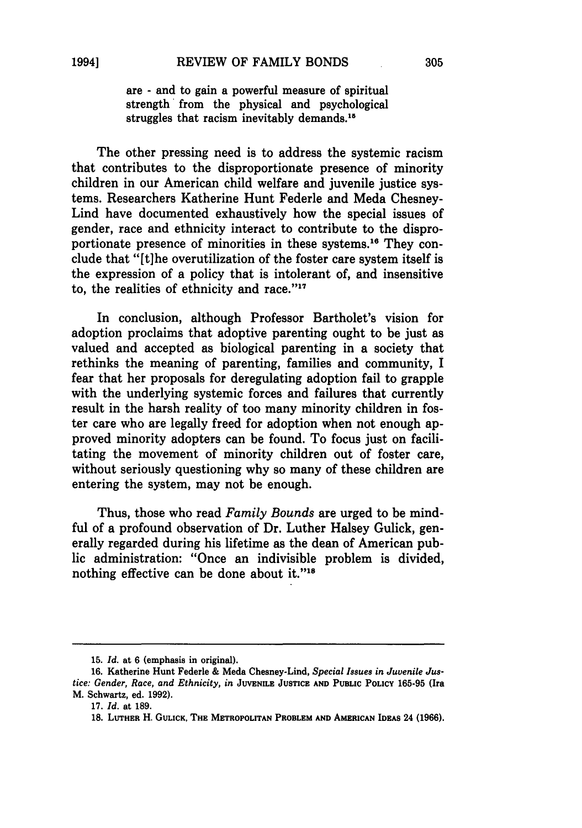are - and to gain a powerful measure of spiritual strength' from the physical and psychological struggles that racism inevitably demands.<sup>15</sup>

The other pressing need is to address the systemic racism that contributes to the disproportionate presence of minority children in our American child welfare and juvenile justice systems. Researchers Katherine Hunt Federle and Meda Chesney-Lind have documented exhaustively how the special issues of gender, race and ethnicity interact to contribute to the disproportionate presence of minorities in these systems.<sup>16</sup> They conclude that "[t]he overutilization of the foster care system itself is the expression of a policy that is intolerant of, and insensitive to, the realities of ethnicity and race."17

In conclusion, although Professor Bartholet's vision for adoption proclaims that adoptive parenting ought to be just as valued and accepted as biological parenting in a society that rethinks the meaning of parenting, families and community, I fear that her proposals for deregulating adoption fail to grapple with the underlying systemic forces and failures that currently result in the harsh reality of too many minority children in foster care who are legally freed for adoption when not enough approved minority adopters can be found. To focus just on facilitating the movement of minority children out of foster care, without seriously questioning why so many of these children are entering the system, may not be enough.

Thus, those who read *Family Bounds* are urged to be mindful of a profound observation of Dr. Luther Halsey Gulick, generally regarded during his lifetime as the dean of American public administration: "Once an indivisible problem is divided, nothing effective can be done about it."<sup>18</sup>

*<sup>15.</sup> ld.* at 6 (emphasis in original).

<sup>16.</sup> Katherine Hunt Federle & Meda Chesney-Lind, *Special Issues in Juvenile Justice: Gender, Race, and Ethnicity, in* JUVENILE JUSTICE AND PUBLIC POLICY 165-95 (Ira M. Schwartz, ed. 1992).

*<sup>17.</sup> ld.* at 189.

<sup>18.</sup> LUTHER H. GULICK, THE METROPOLITAN PROBLEM AND AMERICAN IDEAS 24 (1966).